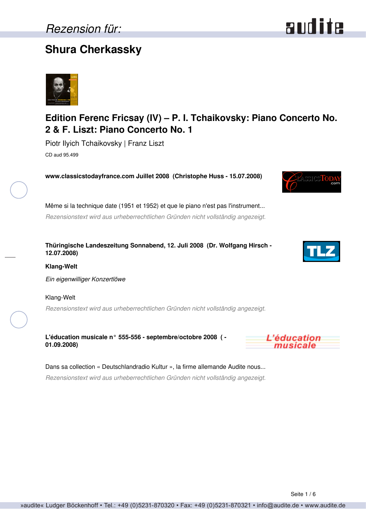### **Shura Cherkassky**

Seite 1 / 6



### **Edition Ferenc Fricsay (IV) – P. I. Tchaikovsky: Piano Concerto No. 2 & F. Liszt: Piano Concerto No. 1**

Piotr Ilyich Tchaikovsky | Franz Liszt CD aud 95.499

**www.classicstodayfrance.com Juillet 2008 (Christophe Huss - 15.07.2008)**

Même si la technique date (1951 et 1952) et que le piano n'est pas l'instrument... *Rezensionstext wird aus urheberrechtlichen Gründen nicht vollständig angezeigt.*

**Thüringische Landeszeitung Sonnabend, 12. Juli 2008 (Dr. Wolfgang Hirsch - 12.07.2008)**

### **Klang-Welt** *Ein eigenwilliger Konzertlöwe*

Klang-Welt *Rezensionstext wird aus urheberrechtlichen Gründen nicht vollständig angezeigt.*

**L'éducation musicale n° 555-556 - septembre/octobre 2008 ( - 01.09.2008)**

Dans sa collection « Deutschlandradio Kultur », la firme allemande Audite nous... *Rezensionstext wird aus urheberrechtlichen Gründen nicht vollständig angezeigt.*







# audite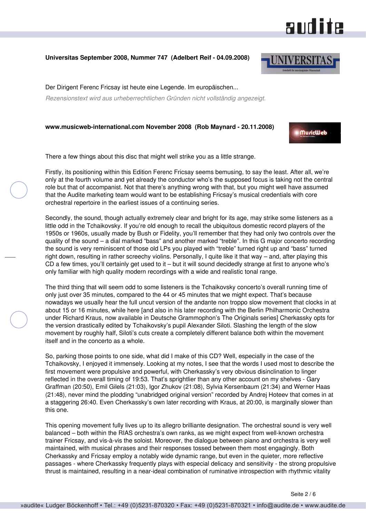### and ite

#### **Universitas September 2008, Nummer 747 (Adelbert Reif - 04.09.2008)**

Der Dirigent Ferenc Fricsay ist heute eine Legende. Im europäischen... *Rezensionstext wird aus urheberrechtlichen Gründen nicht vollständig angezeigt.*

#### **www.musicweb-international.com November 2008 (Rob Maynard - 20.11.2008)**

There a few things about this disc that might well strike you as a little strange.

Firstly, its positioning within this Edition Ferenc Fricsay seems bemusing, to say the least. After all, we're only at the fourth volume and yet already the conductor who's the supposed focus is taking not the central role but that of accompanist. Not that there's anything wrong with that, but you might well have assumed that the Audite marketing team would want to be establishing Fricsay's musical credentials with core orchestral repertoire in the earliest issues of a continuing series.

Secondly, the sound, though actually extremely clear and bright for its age, may strike some listeners as a little odd in the Tchaikovsky. If you're old enough to recall the ubiquitous domestic record players of the 1950s or 1960s, usually made by Bush or Fidelity, you'll remember that they had only two controls over the quality of the sound – a dial marked "bass" and another marked "treble". In this G major concerto recording the sound is very reminiscent of those old LPs you played with "treble" turned right up and "bass" turned right down, resulting in rather screechy violins. Personally, I quite like it that way – and, after playing this CD a few times, you'll certainly get used to it – but it will sound decidedly strange at first to anyone who's only familiar with high quality modern recordings with a wide and realistic tonal range.

The third thing that will seem odd to some listeners is the Tchaikovsky concerto's overall running time of only just over 35 minutes, compared to the 44 or 45 minutes that we might expect. That's because nowadays we usually hear the full uncut version of the andante non troppo slow movement that clocks in at about 15 or 16 minutes, while here [and also in his later recording with the Berlin Philharmonic Orchestra under Richard Kraus, now available in Deutsche Grammophon's The Originals series] Cherkassky opts for the version drastically edited by Tchaikovsky's pupil Alexander Siloti. Slashing the length of the slow movement by roughly half, Siloti's cuts create a completely different balance both within the movement itself and in the concerto as a whole.

So, parking those points to one side, what did I make of this CD? Well, especially in the case of the Tchaikovsky, I enjoyed it immensely. Looking at my notes, I see that the words I used most to describe the first movement were propulsive and powerful, with Cherkassky's very obvious disinclination to linger reflected in the overall timing of 19:53. That's sprightlier than any other account on my shelves - Gary Graffman (20:50), Emil Gilels (21:03), Igor Zhukov (21:08), Sylvia Kersenbaum (21:34) and Werner Haas (21:48), never mind the plodding "unabridged original version" recorded by Andrej Hoteev that comes in at a staggering 26:40. Even Cherkassky's own later recording with Kraus, at 20:00, is marginally slower than this one.

This opening movement fully lives up to its allegro brilliante designation. The orchestral sound is very well balanced – both within the RIAS orchestra's own ranks, as we might expect from well-known orchestra trainer Fricsay, and vis-à-vis the soloist. Moreover, the dialogue between piano and orchestra is very well maintained, with musical phrases and their responses tossed between them most engagingly. Both Cherkassky and Fricsay employ a notably wide dynamic range, but even in the quieter, more reflective passages - where Cherkassky frequently plays with especial delicacy and sensitivity - the strong propulsive thrust is maintained, resulting in a near-ideal combination of ruminative introspection with rhythmic vitality



**MuricWeb**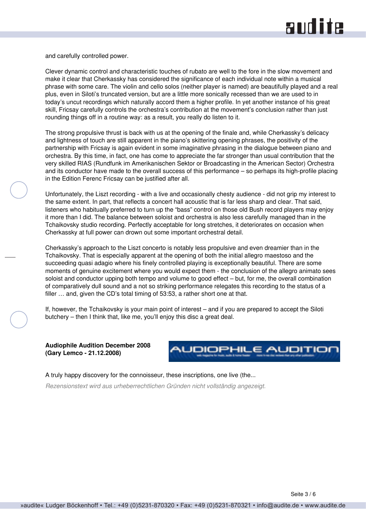## **audite**

and carefully controlled power.

Clever dynamic control and characteristic touches of rubato are well to the fore in the slow movement and make it clear that Cherkassky has considered the significance of each individual note within a musical phrase with some care. The violin and cello solos (neither player is named) are beautifully played and a real plus, even in Siloti's truncated version, but are a little more sonically recessed than we are used to in today's uncut recordings which naturally accord them a higher profile. In yet another instance of his great skill, Fricsay carefully controls the orchestra's contribution at the movement's conclusion rather than just rounding things off in a routine way: as a result, you really do listen to it.

The strong propulsive thrust is back with us at the opening of the finale and, while Cherkassky's delicacy and lightness of touch are still apparent in the piano's skittering opening phrases, the positivity of the partnership with Fricsay is again evident in some imaginative phrasing in the dialogue between piano and orchestra. By this time, in fact, one has come to appreciate the far stronger than usual contribution that the very skilled RIAS (Rundfunk im Amerikanischen Sektor or Broadcasting in the American Sector) Orchestra and its conductor have made to the overall success of this performance – so perhaps its high-profile placing in the Edition Ferenc Fricsay can be justified after all.

Unfortunately, the Liszt recording - with a live and occasionally chesty audience - did not grip my interest to the same extent. In part, that reflects a concert hall acoustic that is far less sharp and clear. That said, listeners who habitually preferred to turn up the "bass" control on those old Bush record players may enjoy it more than I did. The balance between soloist and orchestra is also less carefully managed than in the Tchaikovsky studio recording. Perfectly acceptable for long stretches, it deteriorates on occasion when Cherkassky at full power can drown out some important orchestral detail.

Cherkassky's approach to the Liszt concerto is notably less propulsive and even dreamier than in the Tchaikovsky. That is especially apparent at the opening of both the initial allegro maestoso and the succeeding quasi adagio where his finely controlled playing is exceptionally beautiful. There are some moments of genuine excitement where you would expect them - the conclusion of the allegro animato sees soloist and conductor upping both tempo and volume to good effect – but, for me, the overall combination of comparatively dull sound and a not so striking performance relegates this recording to the status of a filler … and, given the CD's total timing of 53:53, a rather short one at that.

If, however, the Tchaikovsky is your main point of interest – and if you are prepared to accept the Siloti butchery – then I think that, like me, you'll enjoy this disc a great deal.

**Audiophile Audition December 2008 (Gary Lemco - 21.12.2008)**



A truly happy discovery for the connoisseur, these inscriptions, one live (the...

*Rezensionstext wird aus urheberrechtlichen Gründen nicht vollständig angezeigt.*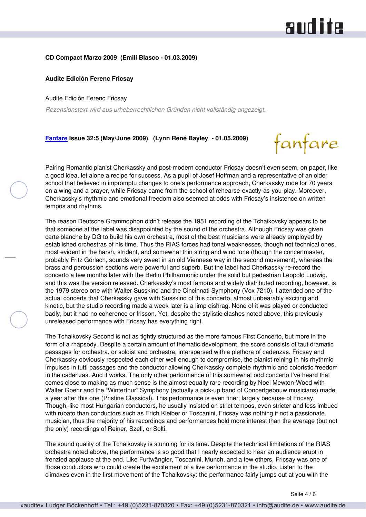## **audite**

### **CD Compact Marzo 2009 (Emili Blasco - 01.03.2009)**

#### **Audite Edición Ferenc Fricsay**

Audite Edición Ferenc Fricsay

*Rezensionstext wird aus urheberrechtlichen Gründen nicht vollständig angezeigt.*

### **[Fanfare](http://www.fanfaremag.com/) Issue 32:5 (May/June 2009) (Lynn René Bayley - 01.05.2009)**

# fanfare

Pairing Romantic pianist Cherkassky and post-modern conductor Fricsay doesn't even seem, on paper, like a good idea, let alone a recipe for success. As a pupil of Josef Hoffman and a representative of an older school that believed in impromptu changes to one's performance approach, Cherkassky rode for 70 years on a wing and a prayer, while Fricsay came from the school of rehearse-exactly-as-you-play. Moreover, Cherkassky's rhythmic and emotional freedom also seemed at odds with Fricsay's insistence on written tempos and rhythms.

The reason Deutsche Grammophon didn't release the 1951 recording of the Tchaikovsky appears to be that someone at the label was disappointed by the sound of the orchestra. Although Fricsay was given carte blanche by DG to build his own orchestra, most of the best musicians were already employed by established orchestras of his time. Thus the RIAS forces had tonal weaknesses, though not technical ones, most evident in the harsh, strident, and somewhat thin string and wind tone (though the concertmaster, probably Fritz Görlach, sounds very sweet in an old Viennese way in the second movement), whereas the brass and percussion sections were powerful and superb. But the label had Cherkassky re-record the concerto a few months later with the Berlin Philharmonic under the solid but pedestrian Leopold Ludwig, and this was the version released. Cherkassky's most famous and widely distributed recording, however, is the 1979 stereo one with Walter Susskind and the Cincinnati Symphony (Vox 7210). I attended one of the actual concerts that Cherkassky gave with Susskind of this concerto, almost unbearably exciting and kinetic, but the studio recording made a week later is a limp dishrag. None of it was played or conducted badly, but it had no coherence or frisson. Yet, despite the stylistic clashes noted above, this previously unreleased performance with Fricsay has everything right.

The Tchaikovsky Second is not as tightly structured as the more famous First Concerto, but more in the form of a rhapsody. Despite a certain amount of thematic development, the score consists of taut dramatic passages for orchestra, or soloist and orchestra, interspersed with a plethora of cadenzas. Fricsay and Cherkassky obviously respected each other well enough to compromise, the pianist reining in his rhythmic impulses in tutti passages and the conductor allowing Cherkassky complete rhythmic and coloristic freedom in the cadenzas. And it works. The only other performance of this somewhat odd concerto I've heard that comes close to making as much sense is the almost equally rare recording by Noel Mewton-Wood with Walter Goehr and the "Winterthur" Symphony (actually a pick-up band of Concertgebouw musicians) made a year after this one (Pristine Classical). This performance is even finer, largely because of Fricsay. Though, like most Hungarian conductors, he usually insisted on strict tempos, even stricter and less imbued with rubato than conductors such as Erich Kleiber or Toscanini, Fricsay was nothing if not a passionate musician, thus the majority of his recordings and performances hold more interest than the average (but not the only) recordings of Reiner, Szell, or Solti.

The sound quality of the Tchaikovsky is stunning for its time. Despite the technical limitations of the RIAS orchestra noted above, the performance is so good that I nearly expected to hear an audience erupt in frenzied applause at the end. Like Furtwängler, Toscanini, Munch, and a few others, Fricsay was one of those conductors who could create the excitement of a live performance in the studio. Listen to the climaxes even in the first movement of the Tchaikovsky: the performance fairly jumps out at you with the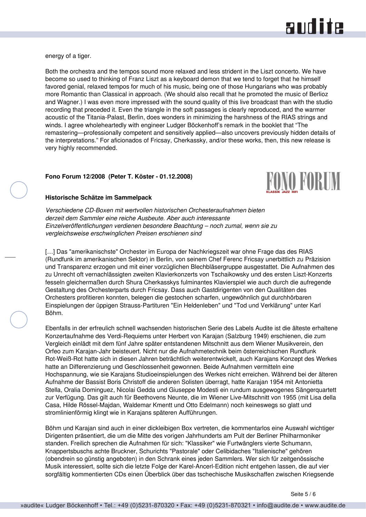## audite

FONO FORUM

energy of a tiger.

Both the orchestra and the tempos sound more relaxed and less strident in the Liszt concerto. We have become so used to thinking of Franz Liszt as a keyboard demon that we tend to forget that he himself favored genial, relaxed tempos for much of his music, being one of those Hungarians who was probably more Romantic than Classical in approach. (We should also recall that he promoted the music of Berlioz and Wagner.) I was even more impressed with the sound quality of this live broadcast than with the studio recording that preceded it. Even the triangle in the soft passages is clearly reproduced, and the warmer acoustic of the Titania-Palast, Berlin, does wonders in minimizing the harshness of the RIAS strings and winds. I agree wholeheartedly with engineer Ludger Böckenhoff's remark in the booklet that "The remastering—professionally competent and sensitively applied—also uncovers previously hidden details of the interpretations." For aficionados of Fricsay, Cherkassky, and/or these works, then, this new release is very highly recommended.

### **Fono Forum 12/2008 (Peter T. Köster - 01.12.2008)**

#### **Historische Schätze im Sammelpack**

*Verschiedene CD-Boxen mit wertvollen historischen Orchesteraufnahmen bieten derzeit dem Sammler eine reiche Ausbeute. Aber auch interessante Einzelveröffentlichungen verdienen besondere Beachtung – noch zumal, wenn sie zu vergleichsweise erschwinglichen Preisen erschienen sind*

[...] Das "amerikanischste" Orchester im Europa der Nachkriegszeit war ohne Frage das des RIAS (Rundfunk im amerikanischen Sektor) in Berlin, von seinem Chef Ferenc Fricsay unerbittlich zu Präzision und Transparenz erzogen und mit einer vorzüglichen Blechbläsergruppe ausgestattet. Die Aufnahmen des zu Unrecht oft vernachlässigten zweiten Klavierkonzerts von Tschaikowsky und des ersten Liszt-Konzerts fesseln gleichermaßen durch Shura Cherkasskys fulminantes Klavierspiel wie auch durch die aufregende Gestaltung des Orchesterparts durch Fricsay. Dass auch Gastdirigenten von den Qualitäten des Orchesters profitieren konnten, belegen die gestochen scharfen, ungewöhnlich gut durchhörbaren Einspielungen der üppigen Strauss-Partituren "Ein Heldenleben" und "Tod und Verklärung" unter Karl Böhm.

Ebenfalls in der erfreulich schnell wachsenden historischen Serie des Labels Audite ist die älteste erhaltene Konzertaufnahme des Verdi-Requiems unter Herbert von Karajan (Salzburg 1949) erschienen, die zum Vergleich einlädt mit dem fünf Jahre später entstandenen Mitschnitt aus dem Wiener Musikverein, den Orfeo zum Karajan-Jahr beisteuert. Nicht nur die Aufnahmetechnik beim österreichischen Rundfunk Rot-Weiß-Rot hatte sich in diesen Jahren beträchtlich weiterentwickelt, auch Karajans Konzept des Werkes hatte an Differenzierung und Geschlossenheit gewonnen. Beide Aufnahmen vermitteln eine Hochspannung, wie sie Karajans Studioeinspielungen des Werkes nicht erreichen. Während bei der älteren Aufnahme der Bassist Boris Christoff die anderen Solisten überragt, hatte Karajan 1954 mit Antonietta Stella, Oralia Dominguez, Nicolai Gedda und Giuseppe Modesti ein rundum ausgewogenes Sängerquartett zur Verfügung. Das gilt auch für Beethovens Neunte, die im Wiener Live-Mitschnitt von 1955 (mit Lisa della Casa, Hilde Rössel-Majdan, Waldemar Kmentt und Otto Edelmann) noch keineswegs so glatt und stromlinienförmig klingt wie in Karajans späteren Aufführungen.

Böhm und Karajan sind auch in einer dickleibigen Box vertreten, die kommentarlos eine Auswahl wichtiger Dirigenten präsentiert, die um die Mitte des vorigen Jahrhunderts am Pult der Berliner Philharmoniker standen. Freilich sprechen die Aufnahmen für sich: "Klassiker" wie Furtwänglers vierte Schumann, Knappertsbuschs achte Bruckner, Schurichts "Pastorale" oder Celibidaches "Italienische" gehören (obendrein so günstig angeboten) in den Schrank eines jeden Sammlers. Wer sich für zeitgenössische Musik interessiert, sollte sich die letzte Folge der Karel-Ancerl-Edition nicht entgehen lassen, die auf vier sorgfältig kommentierten CDs einen Überblick über das tschechische Musikschaffen zwischen Kriegsende